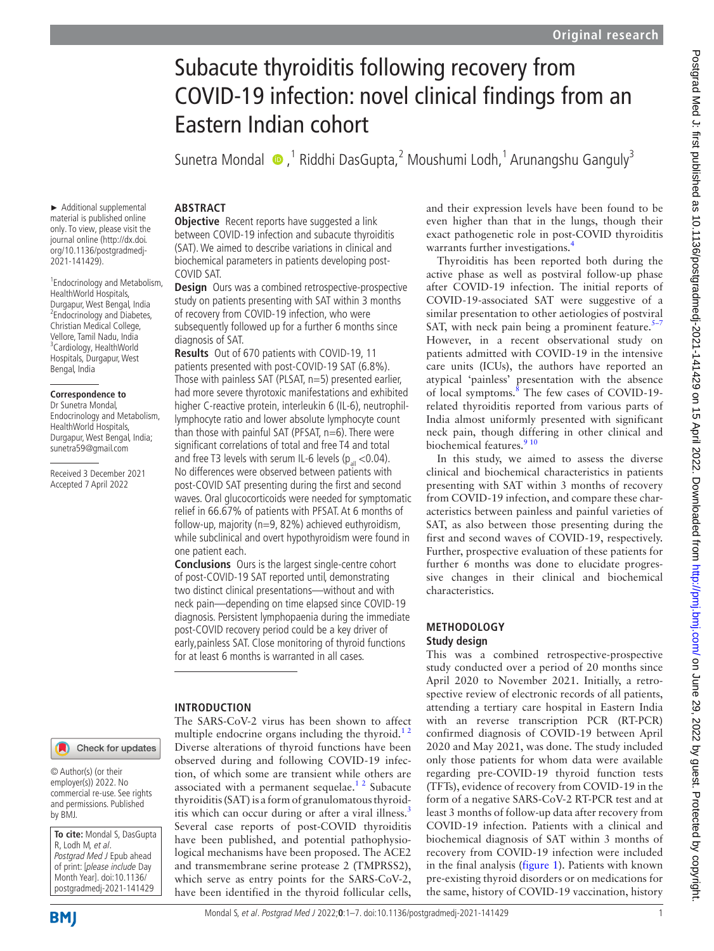# Subacute thyroiditis following recovery from COVID-19 infection: novel clinical findings from an Eastern Indian cohort

Sunetra Mondal  $\bigcirc$ ,<sup>1</sup> Riddhi DasGupta,<sup>2</sup> Moushumi Lodh,<sup>1</sup> Arunangshu Ganguly<sup>3</sup>

► Additional supplemental material is published online only. To view, please visit the journal online ([http://dx.doi.](http://dx.doi.org/10.1136/postgradmedj-2021-141429) [org/10.1136/postgradmedj-](http://dx.doi.org/10.1136/postgradmedj-2021-141429)[2021-141429\)](http://dx.doi.org/10.1136/postgradmedj-2021-141429).

1 Endocrinology and Metabolism, HealthWorld Hospitals, Durgapur, West Bengal, India 2 Endocrinology and Diabetes, Christian Medical College, Vellore, Tamil Nadu, India <sup>3</sup>Cardiology, HealthWorld Hospitals, Durgapur, West Bengal, India

#### **Correspondence to** Dr Sunetra Mondal,

Endocrinology and Metabolism, HealthWorld Hospitals, Durgapur, West Bengal, India; sunetra59@gmail.com

Received 3 December 2021 Accepted 7 April 2022

# Check for updates

© Author(s) (or their employer(s)) 2022. No commercial re-use. See rights and permissions. Published by BMJ.

**To cite:** Mondal S, DasGupta R, Lodh M, et al. Postgrad Med J Epub ahead of print: [please include Day Month Year]. doi:10.1136/ postgradmedj-2021-141429

# **ABSTRACT**

**Objective** Recent reports have suggested a link between COVID-19 infection and subacute thyroiditis (SAT). We aimed to describe variations in clinical and biochemical parameters in patients developing post-COVID SAT.

**Design** Ours was a combined retrospective-prospective study on patients presenting with SAT within 3 months of recovery from COVID-19 infection, who were subsequently followed up for a further 6 months since diagnosis of SAT.

**Results** Out of 670 patients with COVID-19, 11 patients presented with post-COVID-19 SAT (6.8%). Those with painless SAT (PLSAT, n=5) presented earlier, had more severe thyrotoxic manifestations and exhibited higher C-reactive protein, interleukin 6 (IL-6), neutrophillymphocyte ratio and lower absolute lymphocyte count than those with painful SAT (PFSAT, n=6). There were significant correlations of total and free T4 and total and free T3 levels with serum IL-6 levels ( $p_{nl}$  <0.04). No differences were observed between patients with post-COVID SAT presenting during the first and second waves. Oral glucocorticoids were needed for symptomatic relief in 66.67% of patients with PFSAT. At 6 months of follow-up, majority (n=9, 82%) achieved euthyroidism, while subclinical and overt hypothyroidism were found in one patient each.

**Conclusions** Ours is the largest single-centre cohort of post-COVID-19 SAT reported until, demonstrating two distinct clinical presentations—without and with neck pain—depending on time elapsed since COVID-19 diagnosis. Persistent lymphopaenia during the immediate post-COVID recovery period could be a key driver of early,painless SAT. Close monitoring of thyroid functions for at least 6 months is warranted in all cases.

# **INTRODUCTION**

The SARS-CoV-2 virus has been shown to affect multiple endocrine organs including the thyroid. $1<sup>2</sup>$ Diverse alterations of thyroid functions have been observed during and following COVID-19 infection, of which some are transient while others are associated with a permanent sequelae.<sup>12</sup> Subacute thyroiditis (SAT) is a form of granulomatous thyroid-itis which can occur during or after a viral illness.<sup>[3](#page-6-1)</sup> Several case reports of post-COVID thyroiditis have been published, and potential pathophysiological mechanisms have been proposed. The ACE2 and transmembrane serine protease 2 (TMPRSS2), which serve as entry points for the SARS-CoV-2, have been identified in the thyroid follicular cells,

and their expression levels have been found to be even higher than that in the lungs, though their exact pathogenetic role in post-COVID thyroiditis warrants further investigations.<sup>4</sup>

Thyroiditis has been reported both during the active phase as well as postviral follow-up phase after COVID-19 infection. The initial reports of COVID-19-associated SAT were suggestive of a similar presentation to other aetiologies of postviral SAT, with neck pain being a prominent feature. $5-7$ However, in a recent observational study on patients admitted with COVID-19 in the intensive care units (ICUs), the authors have reported an atypical 'painless' presentation with the absence of local symptoms.<sup>8</sup> The few cases of COVID-19related thyroiditis reported from various parts of India almost uniformly presented with significant neck pain, though differing in other clinical and biochemical features.<sup>9</sup><sup>10</sup>

In this study, we aimed to assess the diverse clinical and biochemical characteristics in patients presenting with SAT within 3 months of recovery from COVID-19 infection, and compare these characteristics between painless and painful varieties of SAT, as also between those presenting during the first and second waves of COVID-19, respectively. Further, prospective evaluation of these patients for further 6 months was done to elucidate progressive changes in their clinical and biochemical characteristics.

### **METHODOLOGY Study design**

This was a combined retrospective-prospective study conducted over a period of 20 months since April 2020 to November 2021. Initially, a retrospective review of electronic records of all patients, attending a tertiary care hospital in Eastern India with an reverse transcription PCR (RT-PCR) confirmed diagnosis of COVID-19 between April 2020 and May 2021, was done. The study included only those patients for whom data were available regarding pre-COVID-19 thyroid function tests (TFTs), evidence of recovery from COVID-19 in the form of a negative SARS-CoV-2 RT-PCR test and at least 3 months of follow-up data after recovery from COVID-19 infection. Patients with a clinical and biochemical diagnosis of SAT within 3 months of recovery from COVID-19 infection were included in the final analysis ([figure](#page-1-0) 1). Patients with known pre-existing thyroid disorders or on medications for the same, history of COVID-19 vaccination, history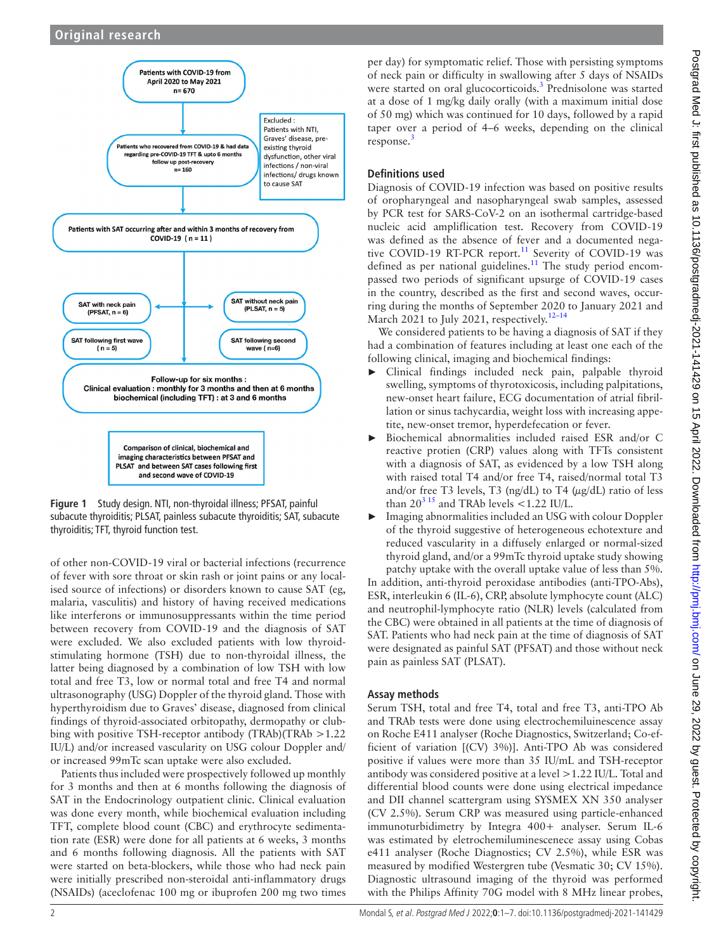

<span id="page-1-0"></span>**Figure 1** Study design. NTI, non-thyroidal illness; PFSAT, painful subacute thyroiditis; PLSAT, painless subacute thyroiditis; SAT, subacute thyroiditis; TFT, thyroid function test.

of other non-COVID-19 viral or bacterial infections (recurrence of fever with sore throat or skin rash or joint pains or any localised source of infections) or disorders known to cause SAT (eg, malaria, vasculitis) and history of having received medications like interferons or immunosuppressants within the time period between recovery from COVID-19 and the diagnosis of SAT were excluded. We also excluded patients with low thyroidstimulating hormone (TSH) due to non-thyroidal illness, the latter being diagnosed by a combination of low TSH with low total and free T3, low or normal total and free T4 and normal ultrasonography (USG) Doppler of the thyroid gland. Those with hyperthyroidism due to Graves' disease, diagnosed from clinical findings of thyroid-associated orbitopathy, dermopathy or clubbing with positive TSH-receptor antibody (TRAb)(TRAb >1.22 IU/L) and/or increased vascularity on USG colour Doppler and/ or increased 99mTc scan uptake were also excluded.

Patients thus included were prospectively followed up monthly for 3 months and then at 6 months following the diagnosis of SAT in the Endocrinology outpatient clinic. Clinical evaluation was done every month, while biochemical evaluation including TFT, complete blood count (CBC) and erythrocyte sedimentation rate (ESR) were done for all patients at 6 weeks, 3 months and 6 months following diagnosis. All the patients with SAT were started on beta-blockers, while those who had neck pain were initially prescribed non-steroidal anti-inflammatory drugs (NSAIDs) (aceclofenac 100 mg or ibuprofen 200 mg two times

per day) for symptomatic relief. Those with persisting symptoms of neck pain or difficulty in swallowing after 5 days of NSAIDs were started on oral glucocorticoids.<sup>3</sup> Prednisolone was started at a dose of 1 mg/kg daily orally (with a maximum initial dose of 50 mg) which was continued for 10 days, followed by a rapid taper over a period of 4–6 weeks, depending on the clinical response.<sup>[3](#page-6-1)</sup>

# **Definitions used**

Diagnosis of COVID-19 infection was based on positive results of oropharyngeal and nasopharyngeal swab samples, assessed by PCR test for SARS-CoV-2 on an isothermal cartridge-based nucleic acid ampliflication test. Recovery from COVID-19 was defined as the absence of fever and a documented negative COVID-19 RT-PCR report.<sup>11</sup> Severity of COVID-19 was defined as per national guidelines.<sup>[11](#page-6-6)</sup> The study period encompassed two periods of significant upsurge of COVID-19 cases in the country, described as the first and second waves, occurring during the months of September 2020 to January 2021 and March 2021 to July 2021, respectively.<sup>12-14</sup>

We considered patients to be having a diagnosis of SAT if they had a combination of features including at least one each of the

- following clinical, imaging and biochemical findings:<br>  $\blacktriangleright$  Clinical findings included neck pain palpab Clinical findings included neck pain, palpable thyroid swelling, symptoms of thyrotoxicosis, including palpitations, new-onset heart failure, ECG documentation of atrial fibrillation or sinus tachycardia, weight loss with increasing appetite, new-onset tremor, hyperdefecation or fever.
- ► Biochemical abnormalities included raised ESR and/or C reactive protien (CRP) values along with TFTs consistent with a diagnosis of SAT, as evidenced by a low TSH along with raised total T4 and/or free T4, raised/normal total T3 and/or free T3 levels, T3 (ng/dL) to T4 (μg/dL) ratio of less than  $20^{3}$  15 and TRAb levels <1.22 IU/L.
- Imaging abnormalities included an USG with colour Doppler of the thyroid suggestive of heterogeneous echotexture and reduced vascularity in a diffusely enlarged or normal-sized thyroid gland, and/or a 99mTc thyroid uptake study showing patchy uptake with the overall uptake value of less than 5%.

In addition, anti-thyroid peroxidase antibodies (anti-TPO-Abs), ESR, interleukin 6 (IL-6), CRP, absolute lymphocyte count (ALC) and neutrophil-lymphocyte ratio (NLR) levels (calculated from the CBC) were obtained in all patients at the time of diagnosis of SAT. Patients who had neck pain at the time of diagnosis of SAT were designated as painful SAT (PFSAT) and those without neck pain as painless SAT (PLSAT).

# **Assay methods**

Serum TSH, total and free T4, total and free T3, anti-TPO Ab and TRAb tests were done using electrochemiluinescence assay on Roche E411 analyser (Roche Diagnostics, Switzerland; Co-efficient of variation [(CV) 3%)]. Anti-TPO Ab was considered positive if values were more than 35 IU/mL and TSH-receptor antibody was considered positive at a level >1.22 IU/L. Total and differential blood counts were done using electrical impedance and DII channel scattergram using SYSMEX XN 350 analyser (CV 2.5%). Serum CRP was measured using particle-enhanced immunoturbidimetry by Integra 400+ analyser. Serum IL-6 was estimated by eletrochemiluminescenece assay using Cobas e411 analyser (Roche Diagnostics; CV 2.5%), while ESR was measured by modified Westergren tube (Vesmatic 30; CV 15%). Diagnostic ultrasound imaging of the thyroid was performed with the Philips Affinity 70G model with 8 MHz linear probes,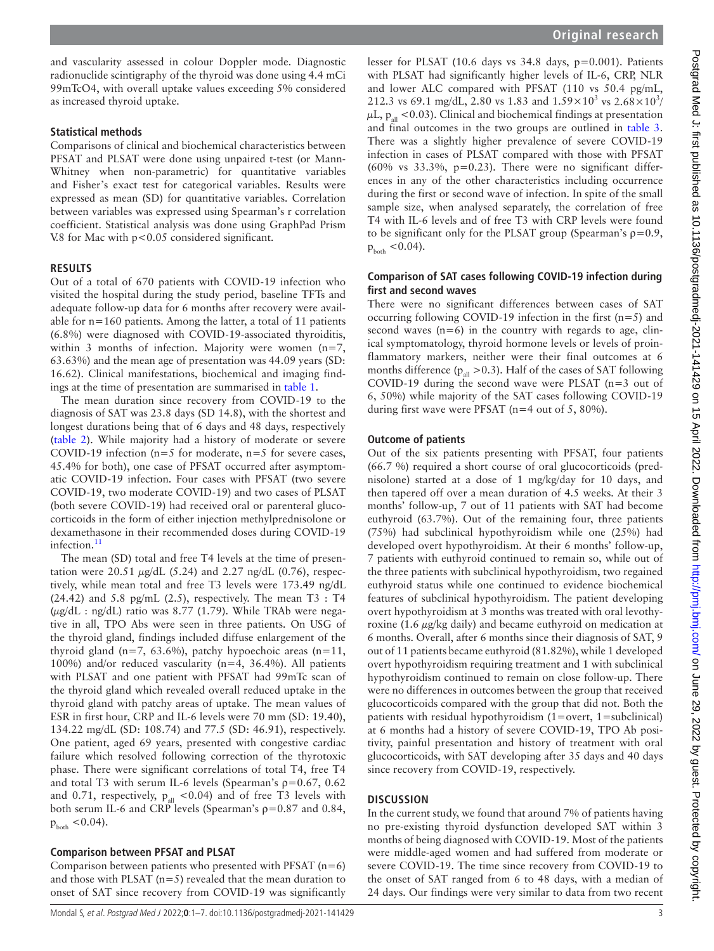and vascularity assessed in colour Doppler mode. Diagnostic radionuclide scintigraphy of the thyroid was done using 4.4 mCi 99mTcO4, with overall uptake values exceeding 5% considered as increased thyroid uptake.

#### **Statistical methods**

Comparisons of clinical and biochemical characteristics between PFSAT and PLSAT were done using unpaired t-test (or Mann-Whitney when non-parametric) for quantitative variables and Fisher's exact test for categorical variables. Results were expressed as mean (SD) for quantitative variables. Correlation between variables was expressed using Spearman's r correlation coefficient. Statistical analysis was done using GraphPad Prism V.8 for Mac with  $p < 0.05$  considered significant.

### **RESULTS**

Out of a total of 670 patients with COVID-19 infection who visited the hospital during the study period, baseline TFTs and adequate follow-up data for 6 months after recovery were available for n=160 patients. Among the latter, a total of 11 patients (6.8%) were diagnosed with COVID-19-associated thyroiditis, within 3 months of infection. Majority were women  $(n=7,$ 63.63%) and the mean age of presentation was 44.09 years (SD: 16.62). Clinical manifestations, biochemical and imaging findings at the time of presentation are summarised in [table](#page-3-0) 1.

The mean duration since recovery from COVID-19 to the diagnosis of SAT was 23.8 days (SD 14.8), with the shortest and longest durations being that of 6 days and 48 days, respectively ([table](#page-4-0) 2). While majority had a history of moderate or severe COVID-19 infection ( $n=5$  for moderate,  $n=5$  for severe cases, 45.4% for both), one case of PFSAT occurred after asymptomatic COVID-19 infection. Four cases with PFSAT (two severe COVID-19, two moderate COVID-19) and two cases of PLSAT (both severe COVID-19) had received oral or parenteral glucocorticoids in the form of either injection methylprednisolone or dexamethasone in their recommended doses during COVID-19 infection.<sup>[11](#page-6-6)</sup>

The mean (SD) total and free T4 levels at the time of presentation were  $20.51 \mu g/dL$  (5.24) and 2.27 ng/dL (0.76), respectively, while mean total and free T3 levels were 173.49 ng/dL  $(24.42)$  and 5.8 pg/mL  $(2.5)$ , respectively. The mean T3 : T4  $(\mu$ g/dL : ng/dL) ratio was 8.77 (1.79). While TRAb were negative in all, TPO Abs were seen in three patients. On USG of the thyroid gland, findings included diffuse enlargement of the thyroid gland (n=7, 63.6%), patchy hypoechoic areas (n=11, 100%) and/or reduced vascularity (n=4, 36.4%). All patients with PLSAT and one patient with PFSAT had 99mTc scan of the thyroid gland which revealed overall reduced uptake in the thyroid gland with patchy areas of uptake. The mean values of ESR in first hour, CRP and IL-6 levels were 70 mm (SD: 19.40), 134.22 mg/dL (SD: 108.74) and 77.5 (SD: 46.91), respectively. One patient, aged 69 years, presented with congestive cardiac failure which resolved following correction of the thyrotoxic phase. There were significant correlations of total T4, free T4 and total T3 with serum IL-6 levels (Spearman's  $p=0.67$ , 0.62 and 0.71, respectively,  $p_{all}$  <0.04) and of free T3 levels with both serum IL-6 and CRP levels (Spearman's  $p=0.87$  and 0.84,  $p_{\text{both}} < 0.04$ ).

### **Comparison between PFSAT and PLSAT**

Comparison between patients who presented with PFSAT  $(n=6)$ and those with PLSAT  $(n=5)$  revealed that the mean duration to onset of SAT since recovery from COVID-19 was significantly

lesser for PLSAT (10.6 days vs 34.8 days, p=0.001). Patients with PLSAT had significantly higher levels of IL-6, CRP, NLR and lower ALC compared with PFSAT (110 vs 50.4 pg/mL, 212.3 vs 69.1 mg/dL, 2.80 vs 1.83 and  $1.59 \times 10^3$  vs  $2.68 \times 10^3$ /  $\mu$ L,  $p_{all}$  <0.03). Clinical and biochemical findings at presentation and final outcomes in the two groups are outlined in [table](#page-4-1) 3. There was a slightly higher prevalence of severe COVID-19 infection in cases of PLSAT compared with those with PFSAT (60% vs  $33.3\%$ , p=0.23). There were no significant differences in any of the other characteristics including occurrence during the first or second wave of infection. In spite of the small sample size, when analysed separately, the correlation of free T4 with IL-6 levels and of free T3 with CRP levels were found to be significant only for the PLSAT group (Spearman's  $p=0.9$ ,  $p_{\text{both}} < 0.04$ .

### **Comparison of SAT cases following COVID-19 infection during first and second waves**

There were no significant differences between cases of SAT occurring following COVID-19 infection in the first  $(n=5)$  and second waves  $(n=6)$  in the country with regards to age, clinical symptomatology, thyroid hormone levels or levels of proinflammatory markers, neither were their final outcomes at 6 months difference ( $p_{all} > 0.3$ ). Half of the cases of SAT following COVID-19 during the second wave were PLSAT (n=3 out of 6, 50%) while majority of the SAT cases following COVID-19 during first wave were PFSAT (n=4 out of 5, 80%).

### **Outcome of patients**

Out of the six patients presenting with PFSAT, four patients (66.7 %) required a short course of oral glucocorticoids (prednisolone) started at a dose of 1 mg/kg/day for 10 days, and then tapered off over a mean duration of 4.5 weeks. At their 3 months' follow-up, 7 out of 11 patients with SAT had become euthyroid (63.7%). Out of the remaining four, three patients (75%) had subclinical hypothyroidism while one (25%) had developed overt hypothyroidism. At their 6 months' follow-up, 7 patients with euthyroid continued to remain so, while out of the three patients with subclinical hypothyroidism, two regained euthyroid status while one continued to evidence biochemical features of subclinical hypothyroidism. The patient developing overt hypothyroidism at 3 months was treated with oral levothyroxine (1.6  $\mu$ g/kg daily) and became euthyroid on medication at 6 months. Overall, after 6 months since their diagnosis of SAT, 9 out of 11 patients became euthyroid (81.82%), while 1 developed overt hypothyroidism requiring treatment and 1 with subclinical hypothyroidism continued to remain on close follow-up. There were no differences in outcomes between the group that received glucocorticoids compared with the group that did not. Both the patients with residual hypothyroidism (1=overt, 1=subclinical) at 6 months had a history of severe COVID-19, TPO Ab positivity, painful presentation and history of treatment with oral glucocorticoids, with SAT developing after 35 days and 40 days since recovery from COVID-19, respectively.

### **DISCUSSION**

In the current study, we found that around 7% of patients having no pre-existing thyroid dysfunction developed SAT within 3 months of being diagnosed with COVID-19. Most of the patients were middle-aged women and had suffered from moderate or severe COVID-19. The time since recovery from COVID-19 to the onset of SAT ranged from 6 to 48 days, with a median of 24 days. Our findings were very similar to data from two recent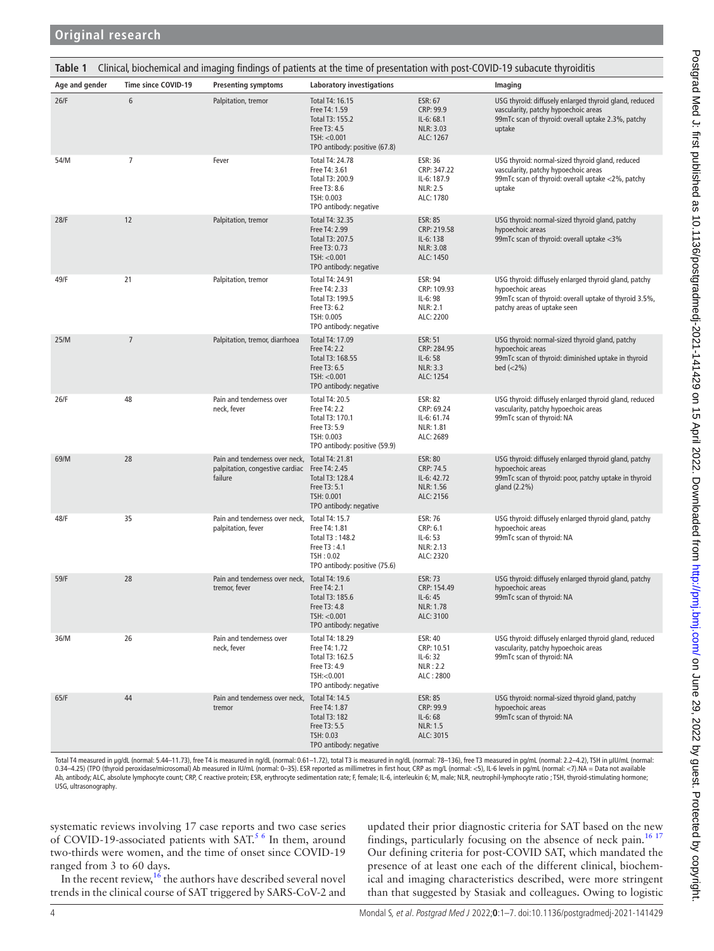<span id="page-3-0"></span>

| Clinical, biochemical and imaging findings of patients at the time of presentation with post-COVID-19 subacute thyroiditis<br>Table 1 |                     |                                                                                                            |                                                                                                                      |                                                                             |                                                                                                                                                                    |  |  |
|---------------------------------------------------------------------------------------------------------------------------------------|---------------------|------------------------------------------------------------------------------------------------------------|----------------------------------------------------------------------------------------------------------------------|-----------------------------------------------------------------------------|--------------------------------------------------------------------------------------------------------------------------------------------------------------------|--|--|
| Age and gender                                                                                                                        | Time since COVID-19 | <b>Presenting symptoms</b>                                                                                 | <b>Laboratory investigations</b>                                                                                     |                                                                             | Imaging                                                                                                                                                            |  |  |
| 26/F                                                                                                                                  | 6                   | Palpitation, tremor                                                                                        | Total T4: 16.15<br>Free T4: 1.59<br>Total T3: 155.2<br>Free T3: 4.5<br>TSH: < 0.001<br>TPO antibody: positive (67.8) | ESR: 67<br>CRP: 99.9<br>$IL-6:68.1$<br>NLR: 3.03<br>ALC: 1267               | USG thyroid: diffusely enlarged thyroid gland, reduced<br>vascularity, patchy hypoechoic areas<br>99mTc scan of thyroid: overall uptake 2.3%, patchy<br>uptake     |  |  |
| 54/M                                                                                                                                  | 7                   | Fever                                                                                                      | Total T4: 24.78<br>Free T4: 3.61<br>Total T3: 200.9<br>Free T3: 8.6<br>TSH: 0.003<br>TPO antibody: negative          | ESR: 36<br>CRP: 347.22<br>IL-6: 187.9<br><b>NLR: 2.5</b><br>ALC: 1780       | USG thyroid: normal-sized thyroid gland, reduced<br>vascularity, patchy hypoechoic areas<br>99mTc scan of thyroid: overall uptake <2%, patchy<br>uptake            |  |  |
| 28/F                                                                                                                                  | 12                  | Palpitation, tremor                                                                                        | Total T4: 32.35<br>Free T4: 2.99<br>Total T3: 207.5<br>Free T3: 0.73<br>TSH: < 0.001<br>TPO antibody: negative       | ESR: 85<br>CRP: 219.58<br>IL-6:138<br>NLR: 3.08<br>ALC: 1450                | USG thyroid: normal-sized thyroid gland, patchy<br>hypoechoic areas<br>99mTc scan of thyroid: overall uptake <3%                                                   |  |  |
| 49/F                                                                                                                                  | 21                  | Palpitation, tremor                                                                                        | Total T4: 24.91<br>Free T4: 2.33<br>Total T3: 199.5<br>Free T3: 6.2<br>TSH: 0.005<br>TPO antibody: negative          | ESR: 94<br>CRP: 109.93<br>$IL-6:98$<br><b>NLR: 2.1</b><br>ALC: 2200         | USG thyroid: diffusely enlarged thyroid gland, patchy<br>hypoechoic areas<br>99mTc scan of thyroid: overall uptake of thyroid 3.5%,<br>patchy areas of uptake seen |  |  |
| 25/M                                                                                                                                  | $\overline{7}$      | Palpitation, tremor, diarrhoea                                                                             | Total T4: 17.09<br>Free T4: 2.2<br>Total T3: 168.55<br>Free T3: 6.5<br>TSH: < 0.001<br>TPO antibody: negative        | <b>ESR: 51</b><br>CRP: 284.95<br>IL-6:58<br><b>NLR: 3.3</b><br>ALC: 1254    | USG thyroid: normal-sized thyroid gland, patchy<br>hypoechoic areas<br>99mTc scan of thyroid: diminished uptake in thyroid<br>$bed (< 2\%)$                        |  |  |
| 26/F                                                                                                                                  | 48                  | Pain and tenderness over<br>neck, fever                                                                    | Total T4: 20.5<br>Free T4: 2.2<br>Total T3: 170.1<br>Free T3: 5.9<br>TSH: 0.003<br>TPO antibody: positive (59.9)     | <b>ESR: 82</b><br>CRP: 69.24<br>IL-6: 61.74<br>NLR: 1.81<br>ALC: 2689       | USG thyroid: diffusely enlarged thyroid gland, reduced<br>vascularity, patchy hypoechoic areas<br>99mTc scan of thyroid: NA                                        |  |  |
| 69/M                                                                                                                                  | 28                  | Pain and tenderness over neck, Total T4: 21.81<br>palpitation, congestive cardiac Free T4: 2.45<br>failure | Total T3: 128.4<br>Free T3: 5.1<br>TSH: 0.001<br>TPO antibody: negative                                              | <b>ESR: 80</b><br>CRP: 74.5<br>IL-6: 42.72<br><b>NLR: 1.56</b><br>ALC: 2156 | USG thyroid: diffusely enlarged thyroid gland, patchy<br>hypoechoic areas<br>99mTc scan of thyroid: poor, patchy uptake in thyroid<br>gland (2.2%)                 |  |  |
| 48/F                                                                                                                                  | 35                  | Pain and tenderness over neck, Total T4: 15.7<br>palpitation, fever                                        | Free T4: 1.81<br>Total T3: 148.2<br>Free T3:4.1<br>TSH: 0.02<br>TPO antibody: positive (75.6)                        | <b>ESR: 76</b><br>CRP: 6.1<br>$IL-6: 53$<br>NLR: 2.13<br>ALC: 2320          | USG thyroid: diffusely enlarged thyroid gland, patchy<br>hypoechoic areas<br>99mTc scan of thyroid: NA                                                             |  |  |
| 59/F                                                                                                                                  | 28                  | Pain and tenderness over neck, Total T4: 19.6<br>tremor, fever                                             | Free T4: 2.1<br>Total T3: 185.6<br>Free T3: 4.8<br>TSH: < 0.001<br>TPO antibody: negative                            | <b>ESR: 73</b><br>CRP: 154.49<br>$IL-6:45$<br>NLR: 1.78<br>ALC: 3100        | USG thyroid: diffusely enlarged thyroid gland, patchy<br>hypoechoic areas<br>99mTc scan of thyroid: NA                                                             |  |  |
| 36/M                                                                                                                                  | 26                  | Pain and tenderness over<br>neck, fever                                                                    | Total T4: 18.29<br>Free T4: 1.72<br>Total T3: 162.5<br>Free T3: 4.9<br>TSH:<0.001<br>TPO antibody: negative          | ESR: 40<br>CRP: 10.51<br>$IL-6:32$<br>NLR:2.2<br>ALC: 2800                  | USG thyroid: diffusely enlarged thyroid gland, reduced<br>vascularity, patchy hypoechoic areas<br>99mTc scan of thyroid: NA                                        |  |  |
| 65/F                                                                                                                                  | 44                  | Pain and tenderness over neck, Total T4: 14.5<br>tremor                                                    | Free T4: 1.87<br><b>Total T3: 182</b><br>Free T3: 5.5<br>TSH: 0.03<br>TPO antibody: negative                         | <b>ESR: 85</b><br>CRP: 99.9<br>IL-6:68<br>NLR: 1.5<br>ALC: 3015             | USG thyroid: normal-sized thyroid gland, patchy<br>hypoechoic areas<br>99mTc scan of thyroid: NA                                                                   |  |  |

Total T4 measured in µg/dL (normal: 5.44–11.73), free T4 is measured in ng/dL (normal: 0.61–1.72), total T3 is measured in ng/dL (normal: 78–136), free T3 measured in pg/mL (normal: 2.2–4.2), TSH in µIU/mL (normal: 0.34–4.25) (TPO (thyroid peroxidase/microsomal) Ab measured in IU/mL (normal: 0–35). ESR reported as millimetres in first hour, CRP as mg/L (normal: <5), IL-6 levels in pg/mL (normal: <7).NA = Data not available Ab, antibody; ALC, absolute lymphocyte count; CRP, C reactive protein; ESR, erythrocyte sedimentation rate; F, female; IL-6, interleukin 6; M, male; NLR, neutrophil-lymphocyte ratio ; TSH, thyroid-stimulating hormone; USG, ultrasonography.

systematic reviews involving 17 case reports and two case series of COVID-19-associated patients with SAT.<sup>[5 6](#page-6-3)</sup> In them, around two-thirds were women, and the time of onset since COVID-19 ranged from 3 to 60 days.

In the recent review,  $16$  the authors have described several novel trends in the clinical course of SAT triggered by SARS-CoV-2 and

updated their prior diagnostic criteria for SAT based on the new findings, particularly focusing on the absence of neck pain.<sup>[16 17](#page-6-8)</sup> Our defining criteria for post-COVID SAT, which mandated the presence of at least one each of the different clinical, biochemical and imaging characteristics described, were more stringent than that suggested by Stasiak and colleagues. Owing to logistic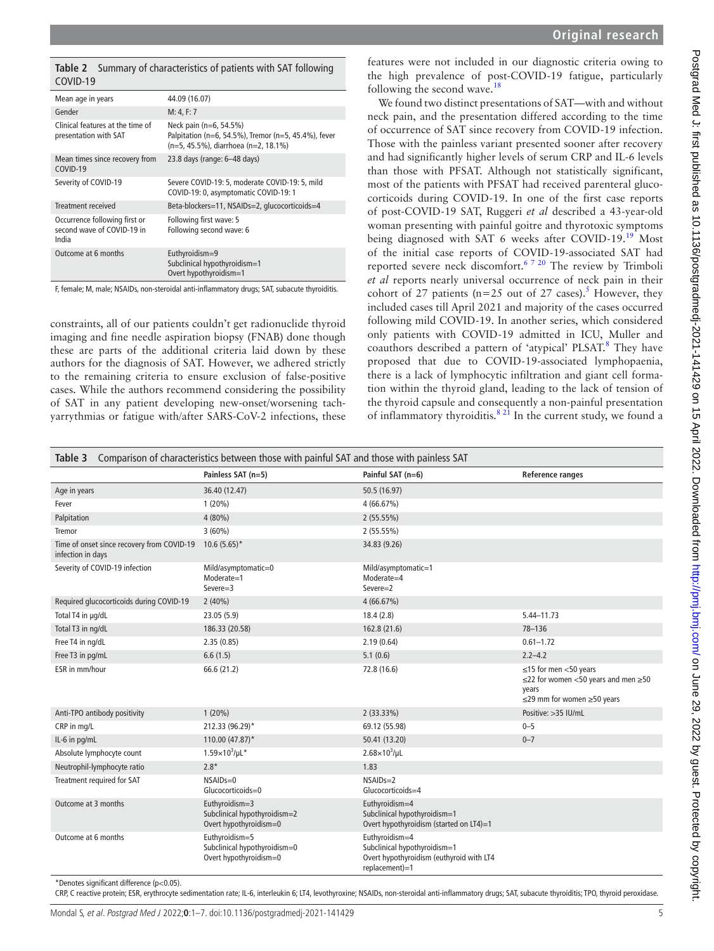<span id="page-4-0"></span>

|          | Table 2 Summary of characteristics of patients with SAT following |  |
|----------|-------------------------------------------------------------------|--|
| COVID-19 |                                                                   |  |

| Mean age in years                                                    | 44.09 (16.07)                                                                                                          |
|----------------------------------------------------------------------|------------------------------------------------------------------------------------------------------------------------|
| Gender                                                               | M: 4, F: 7                                                                                                             |
| Clinical features at the time of<br>presentation with SAT            | Neck pain (n=6, 54.5%)<br>Palpitation (n=6, 54.5%), Tremor (n=5, 45.4%), fever<br>(n=5, 45.5%), diarrhoea (n=2, 18.1%) |
| Mean times since recovery from<br>COVID-19                           | 23.8 days (range: 6-48 days)                                                                                           |
| Severity of COVID-19                                                 | Severe COVID-19: 5, moderate COVID-19: 5, mild<br>COVID-19: 0, asymptomatic COVID-19: 1                                |
| Treatment received                                                   | Beta-blockers=11, NSAIDs=2, glucocorticoids=4                                                                          |
| Occurrence following first or<br>second wave of COVID-19 in<br>India | Following first wave: 5<br>Following second wave: 6                                                                    |
| Outcome at 6 months                                                  | Euthyroidism=9<br>Subclinical hypothyroidism=1<br>Overt hypothyroidism=1                                               |

F, female; M, male; NSAIDs, non-steroidal anti-inflammatory drugs; SAT, subacute thyroiditis.

constraints, all of our patients couldn't get radionuclide thyroid imaging and fine needle aspiration biopsy (FNAB) done though these are parts of the additional criteria laid down by these authors for the diagnosis of SAT. However, we adhered strictly to the remaining criteria to ensure exclusion of false-positive cases. While the authors recommend considering the possibility of SAT in any patient developing new-onset/worsening tachyarrythmias or fatigue with/after SARS-CoV-2 infections, these

features were not included in our diagnostic criteria owing to the high prevalence of post-COVID-19 fatigue, particularly following the second wave.[18](#page-6-9)

We found two distinct presentations of SAT—with and without neck pain, and the presentation differed according to the time of occurrence of SAT since recovery from COVID-19 infection. Those with the painless variant presented sooner after recovery and had significantly higher levels of serum CRP and IL-6 levels than those with PFSAT. Although not statistically significant, most of the patients with PFSAT had received parenteral glucocorticoids during COVID-19. In one of the first case reports of post-COVID-19 SAT, Ruggeri *et al* described a 43-year-old woman presenting with painful goitre and thyrotoxic symptoms being diagnosed with SAT 6 weeks after COVID-19.<sup>19</sup> Most of the initial case reports of COVID-19-associated SAT had reported severe neck discomfort.[6 7 20](#page-6-11) The review by Trimboli *et al* reports nearly universal occurrence of neck pain in their cohort of 27 patients ( $n=25$  $n=25$  out of 27 cases).<sup>5</sup> However, they included cases till April 2021 and majority of the cases occurred following mild COVID-19. In another series, which considered only patients with COVID-19 admitted in ICU, Muller and coauthors described a pattern of 'atypical' PLSAT.<sup>[8](#page-6-4)</sup> They have proposed that due to COVID-19-associated lymphopaenia, there is a lack of lymphocytic infiltration and giant cell formation within the thyroid gland, leading to the lack of tension of the thyroid capsule and consequently a non-painful presentation of inflammatory thyroiditis.<sup>8 21</sup> In the current study, we found a

<span id="page-4-1"></span>

| Comparison of characteristics between those with painful SAT and those with painless SAT<br>Table 3 |                                                                          |                                                                                                                |                                                                                                                                   |  |  |  |  |
|-----------------------------------------------------------------------------------------------------|--------------------------------------------------------------------------|----------------------------------------------------------------------------------------------------------------|-----------------------------------------------------------------------------------------------------------------------------------|--|--|--|--|
|                                                                                                     | Painless SAT (n=5)                                                       | Painful SAT (n=6)                                                                                              | <b>Reference ranges</b>                                                                                                           |  |  |  |  |
| Age in years                                                                                        | 36.40 (12.47)                                                            | 50.5 (16.97)                                                                                                   |                                                                                                                                   |  |  |  |  |
| Fever                                                                                               | 1(20%)                                                                   | 4(66.67%)                                                                                                      |                                                                                                                                   |  |  |  |  |
| Palpitation                                                                                         | 4 (80%)                                                                  | 2(55.55%)                                                                                                      |                                                                                                                                   |  |  |  |  |
| Tremor                                                                                              | $3(60\%)$                                                                | 2(55.55%)                                                                                                      |                                                                                                                                   |  |  |  |  |
| Time of onset since recovery from COVID-19<br>infection in days                                     | $10.6(5.65)^*$                                                           | 34.83 (9.26)                                                                                                   |                                                                                                                                   |  |  |  |  |
| Severity of COVID-19 infection                                                                      | Mild/asymptomatic=0<br>Moderate=1<br>$Severe=3$                          | Mild/asymptomatic=1<br>Moderate=4<br>Severe=2                                                                  |                                                                                                                                   |  |  |  |  |
| Required glucocorticoids during COVID-19                                                            | $2(40\%)$                                                                | 4(66.67%)                                                                                                      |                                                                                                                                   |  |  |  |  |
| Total T4 in µg/dL                                                                                   | 23.05 (5.9)                                                              | 18.4(2.8)                                                                                                      | 5.44-11.73                                                                                                                        |  |  |  |  |
| Total T3 in ng/dL                                                                                   | 186.33 (20.58)                                                           | 162.8 (21.6)                                                                                                   | $78 - 136$                                                                                                                        |  |  |  |  |
| Free T4 in ng/dL                                                                                    | 2.35(0.85)                                                               | 2.19(0.64)                                                                                                     | $0.61 - 1.72$                                                                                                                     |  |  |  |  |
| Free T3 in pg/mL                                                                                    | 6.6(1.5)                                                                 | 5.1(0.6)                                                                                                       | $2.2 - 4.2$                                                                                                                       |  |  |  |  |
| ESR in mm/hour                                                                                      | 66.6 (21.2)                                                              | 72.8 (16.6)                                                                                                    | $\leq$ 15 for men <50 years<br>$\leq$ 22 for women <50 years and men $\geq$ 50<br>years<br>$\leq$ 29 mm for women $\geq$ 50 years |  |  |  |  |
| Anti-TPO antibody positivity                                                                        | $1(20\%)$                                                                | $2(33.33\%)$                                                                                                   | Positive: > 35 IU/mL                                                                                                              |  |  |  |  |
| CRP in mg/L                                                                                         | 212.33 (96.29)*                                                          | 69.12 (55.98)                                                                                                  | $0 - 5$                                                                                                                           |  |  |  |  |
| IL-6 in pg/mL                                                                                       | 110.00 (47.87)*                                                          | 50.41 (13.20)                                                                                                  | $0 - 7$                                                                                                                           |  |  |  |  |
| Absolute lymphocyte count                                                                           | $1.59\times10^{3}/\mu$ L*                                                | $2.68 \times 10^3/\mu L$                                                                                       |                                                                                                                                   |  |  |  |  |
| Neutrophil-lymphocyte ratio                                                                         | $2.8*$                                                                   | 1.83                                                                                                           |                                                                                                                                   |  |  |  |  |
| Treatment required for SAT                                                                          | $NSAIDs=0$<br>Glucocorticoids=0                                          | $NSAIDs=2$<br>Glucocorticoids=4                                                                                |                                                                                                                                   |  |  |  |  |
| Outcome at 3 months                                                                                 | Euthyroidism=3<br>Subclinical hypothyroidism=2<br>Overt hypothyroidism=0 | Euthyroidism=4<br>Subclinical hypothyroidism=1<br>Overt hypothyroidism (started on LT4)=1                      |                                                                                                                                   |  |  |  |  |
| Outcome at 6 months                                                                                 | Euthyroidism=5<br>Subclinical hypothyroidism=0<br>Overt hypothyroidism=0 | Euthyroidism=4<br>Subclinical hypothyroidism=1<br>Overt hypothyroidism (euthyroid with LT4<br>$replacement)=1$ |                                                                                                                                   |  |  |  |  |

\*Denotes significant difference (p<0.05).

CRP, C reactive protein; ESR, erythrocyte sedimentation rate; IL-6, interleukin 6; LT4, levothyroxine; NSAIDs, non-steroidal anti-inflammatory drugs; SAT, subacute thyroiditis; TPO, thyroid peroxidase.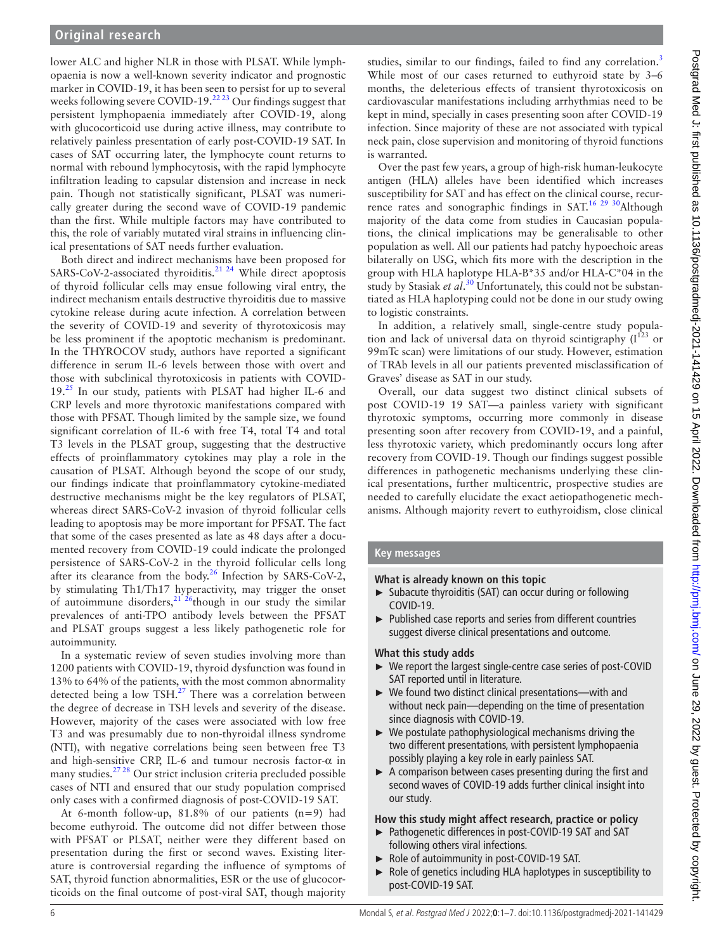lower ALC and higher NLR in those with PLSAT. While lymphopaenia is now a well-known severity indicator and prognostic marker in COVID-19, it has been seen to persist for up to several weeks following severe COVID-19.<sup>22 23</sup> Our findings suggest that persistent lymphopaenia immediately after COVID-19, along with glucocorticoid use during active illness, may contribute to relatively painless presentation of early post-COVID-19 SAT. In cases of SAT occurring later, the lymphocyte count returns to normal with rebound lymphocytosis, with the rapid lymphocyte infiltration leading to capsular distension and increase in neck pain. Though not statistically significant, PLSAT was numerically greater during the second wave of COVID-19 pandemic than the first. While multiple factors may have contributed to this, the role of variably mutated viral strains in influencing clinical presentations of SAT needs further evaluation.

Both direct and indirect mechanisms have been proposed for SARS-CoV-2-associated thyroiditis.<sup>21 24</sup> While direct apoptosis of thyroid follicular cells may ensue following viral entry, the indirect mechanism entails destructive thyroiditis due to massive cytokine release during acute infection. A correlation between the severity of COVID-19 and severity of thyrotoxicosis may be less prominent if the apoptotic mechanism is predominant. In the THYROCOV study, authors have reported a significant difference in serum IL-6 levels between those with overt and those with subclinical thyrotoxicosis in patients with COVID-19.[25](#page-6-14) In our study, patients with PLSAT had higher IL-6 and CRP levels and more thyrotoxic manifestations compared with those with PFSAT. Though limited by the sample size, we found significant correlation of IL-6 with free T4, total T4 and total T3 levels in the PLSAT group, suggesting that the destructive effects of proinflammatory cytokines may play a role in the causation of PLSAT. Although beyond the scope of our study, our findings indicate that proinflammatory cytokine-mediated destructive mechanisms might be the key regulators of PLSAT, whereas direct SARS-CoV-2 invasion of thyroid follicular cells leading to apoptosis may be more important for PFSAT. The fact that some of the cases presented as late as 48 days after a documented recovery from COVID-19 could indicate the prolonged persistence of SARS-CoV-2 in the thyroid follicular cells long after its clearance from the body.<sup>26</sup> Infection by SARS-CoV-2, by stimulating Th1/Th17 hyperactivity, may trigger the onset of autoimmune disorders,<sup>21 26</sup>though in our study the similar prevalences of anti-TPO antibody levels between the PFSAT and PLSAT groups suggest a less likely pathogenetic role for autoimmunity.

In a systematic review of seven studies involving more than 1200 patients with COVID-19, thyroid dysfunction was found in 13% to 64% of the patients, with the most common abnormality detected being a low  $TSH.<sup>27</sup>$  $TSH.<sup>27</sup>$  $TSH.<sup>27</sup>$  There was a correlation between the degree of decrease in TSH levels and severity of the disease. However, majority of the cases were associated with low free T3 and was presumably due to non-thyroidal illness syndrome (NTI), with negative correlations being seen between free T3 and high-sensitive CRP, IL-6 and tumour necrosis factor- $\alpha$  in many studies[.27 28](#page-6-16) Our strict inclusion criteria precluded possible cases of NTI and ensured that our study population comprised only cases with a confirmed diagnosis of post-COVID-19 SAT.

At 6-month follow-up, 81.8% of our patients (n=9) had become euthyroid. The outcome did not differ between those with PFSAT or PLSAT, neither were they different based on presentation during the first or second waves. Existing literature is controversial regarding the influence of symptoms of SAT, thyroid function abnormalities, ESR or the use of glucocorticoids on the final outcome of post-viral SAT, though majority

studies, similar to our findings, failed to find any correlation.<sup>[3](#page-6-1)</sup> While most of our cases returned to euthyroid state by 3–6 months, the deleterious effects of transient thyrotoxicosis on cardiovascular manifestations including arrhythmias need to be kept in mind, specially in cases presenting soon after COVID-19 infection. Since majority of these are not associated with typical neck pain, close supervision and monitoring of thyroid functions is warranted.

Over the past few years, a group of high-risk human-leukocyte antigen (HLA) alleles have been identified which increases susceptibility for SAT and has effect on the clinical course, recurrence rates and sonographic findings in SAT.<sup>16 29 30</sup>Although majority of the data come from studies in Caucasian populations, the clinical implications may be generalisable to other population as well. All our patients had patchy hypoechoic areas bilaterally on USG, which fits more with the description in the group with HLA haplotype HLA-B\*35 and/or HLA-C\*04 in the study by Stasiak *et al*. [30](#page-6-17) Unfortunately, this could not be substantiated as HLA haplotyping could not be done in our study owing to logistic constraints.

In addition, a relatively small, single-centre study population and lack of universal data on thyroid scintigraphy  $(I^{123})$  or 99mTc scan) were limitations of our study. However, estimation of TRAb levels in all our patients prevented misclassification of Graves' disease as SAT in our study.

Overall, our data suggest two distinct clinical subsets of post COVID-19 19 SAT—a painless variety with significant thyrotoxic symptoms, occurring more commonly in disease presenting soon after recovery from COVID-19, and a painful, less thyrotoxic variety, which predominantly occurs long after recovery from COVID-19. Though our findings suggest possible differences in pathogenetic mechanisms underlying these clinical presentations, further multicentric, prospective studies are needed to carefully elucidate the exact aetiopathogenetic mechanisms. Although majority revert to euthyroidism, close clinical

# **Key messages**

**What is already known on this topic**

- Subacute thyroiditis (SAT) can occur during or following COVID-19.
- ► Published case reports and series from different countries suggest diverse clinical presentations and outcome.

#### **What this study adds**

- ► We report the largest single-centre case series of post-COVID SAT reported until in literature.
- ► We found two distinct clinical presentations—with and without neck pain—depending on the time of presentation since diagnosis with COVID-19.
- $\triangleright$  We postulate pathophysiological mechanisms driving the two different presentations, with persistent lymphopaenia possibly playing a key role in early painless SAT.
- ► A comparison between cases presenting during the first and second waves of COVID-19 adds further clinical insight into our study.

# **How this study might affect research, practice or policy**

- ► Pathogenetic differences in post-COVID-19 SAT and SAT following others viral infections.
- ► Role of autoimmunity in post-COVID-19 SAT.
- Role of genetics including HLA haplotypes in susceptibility to post-COVID-19 SAT.